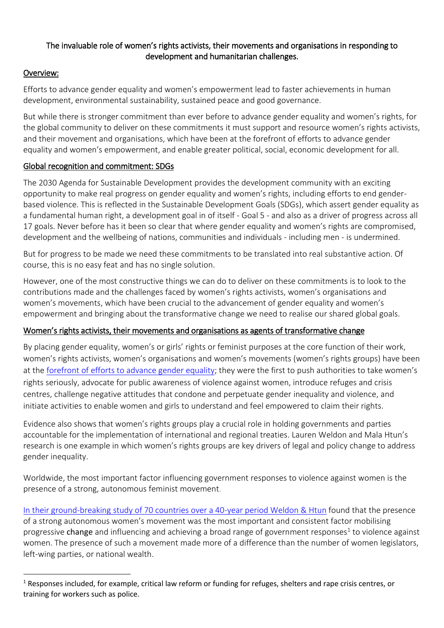## The invaluable role of women's rights activists, their movements and organisations in responding to development and humanitarian challenges.

# Overview:

 $\overline{\phantom{a}}$ 

Efforts to advance gender equality and women's empowerment lead to faster achievements in human development, environmental sustainability, sustained peace and good governance.

But while there is stronger commitment than ever before to advance gender equality and women's rights, for the global community to deliver on these commitments it must support and resource women's rights activists, and their movement and organisations, which have been at the forefront of efforts to advance gender equality and women's empowerment, and enable greater political, social, economic development for all.

## Global recognition and commitment: SDGs

The 2030 Agenda for Sustainable Development provides the development community with an exciting opportunity to make real progress on gender equality and women's rights, including efforts to end genderbased violence. This is reflected in the Sustainable Development Goals (SDGs), which assert gender equality as a fundamental human right, a development goal in of itself - Goal 5 - and also as a driver of progress across all 17 goals. Never before has it been so clear that where gender equality and women's rights are compromised, development and the wellbeing of nations, communities and individuals - including men - is undermined.

But for progress to be made we need these commitments to be translated into real substantive action. Of course, this is no easy feat and has no single solution.

However, one of the most constructive things we can do to deliver on these commitments is to look to the contributions made and the challenges faced by women's rights activists, women's organisations and women's movements, which have been crucial to the advancement of gender equality and women's empowerment and bringing about the transformative change we need to realise our shared global goals.

## Women's rights activists, their movements and organisations as agents of transformative change

By placing gender equality, women's or girls' rights or feminist purposes at the core function of their work, women's rights activists, women's organisations and women's movements (women's rights groups) have been at the [forefront of efforts to advance](http://awava.org.au/2016/04/07/research/role-specialist-womens-services-australias-response-violence-women-children) gender equality; they were the first to push authorities to take women's rights seriously, advocate for public awareness of violence against women, introduce refuges and crisis centres, challenge negative attitudes that condone and perpetuate gender inequality and violence, and initiate activities to enable women and girls to understand and feel empowered to claim their rights.

Evidence also shows that women's rights groups play a crucial role in holding governments and parties accountable for the implementation of international and regional treaties. Lauren Weldon and Mala Htun's research is one example in which women's rights groups are key drivers of legal and policy change to address gender inequality.

Worldwide, the most important factor influencing government responses to violence against women is the presence of a strong, autonomous feminist movement.

[In their ground-breaking study of 70 countries over a 40-year period Weldon & Htun](http://www.tandfonline.com/doi/abs/10.1080/13552074.2013.802158) found that the presence of a strong autonomous women's movement was the most important and consistent factor mobilising progressive change and influencing and achieving a broad range of government responses<sup>1</sup> to violence against women. The presence of such a movement made more of a difference than the number of women legislators, left-wing parties, or national wealth.

 $1$  Responses included, for example, critical law reform or funding for refuges, shelters and rape crisis centres, or training for workers such as police.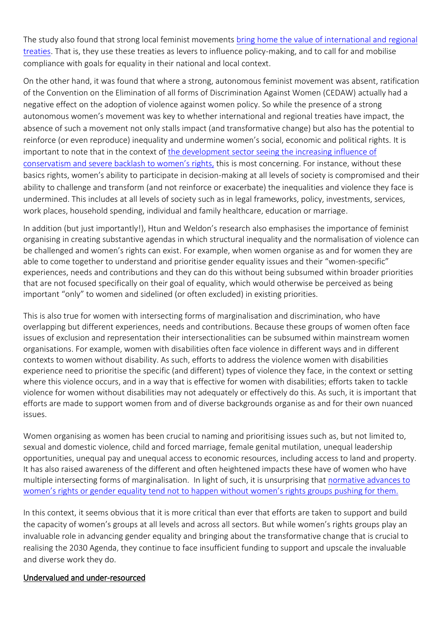The study also found that strong local feminist movements bring home the value of international and regional [treaties.](http://policy-practice.oxfam.org.uk/publications/feminist-mobilisation-and-progressive-policy-change-why-governments-take-action-295457) That is, they use these treaties as levers to influence policy-making, and to call for and mobilise compliance with goals for equality in their national and local context.

On the other hand, it was found that where a strong, autonomous feminist movement was absent, ratification of the Convention on the Elimination of all forms of Discrimination Against Women (CEDAW) actually had a negative effect on the adoption of violence against women policy. So while the presence of a strong autonomous women's movement was key to whether international and regional treaties have impact, the absence of such a movement not only stalls impact (and transformative change) but also has the potential to reinforce (or even reproduce) inequality and undermine women's social, economic and political rights. It is important to note that in the context of [the development sector seeing the increasing influence of](http://web.undp.org/evaluation/documents/articles-papers/occasional_papers/Occasional%20Paper_Gender_Pittman%20.pdf)  [conservatism and severe backl](http://web.undp.org/evaluation/documents/articles-papers/occasional_papers/Occasional%20Paper_Gender_Pittman%20.pdf)ash to women's rights, this is most concerning. For instance, without these basics rights, women's ability to participate in decision-making at all levels of society is compromised and their ability to challenge and transform (and not reinforce or exacerbate) the inequalities and violence they face is undermined. This includes at all levels of society such as in legal frameworks, policy, investments, services, work places, household spending, individual and family healthcare, education or marriage.

In addition (but just importantly!), Htun and Weldon's research also emphasises the importance of feminist organising in creating substantive agendas in which structural inequality and the normalisation of violence can be challenged and women's rights can exist. For example, when women organise as and for women they are able to come together to understand and prioritise gender equality issues and their "women-specific" experiences, needs and contributions and they can do this without being subsumed within broader priorities that are not focused specifically on their goal of equality, which would otherwise be perceived as being important "only" to women and sidelined (or often excluded) in existing priorities.

This is also true for women with intersecting forms of marginalisation and discrimination, who have overlapping but different experiences, needs and contributions. Because these groups of women often face issues of exclusion and representation their intersectionalities can be subsumed within mainstream women organisations. For example, women with disabilities often face violence in different ways and in different contexts to women without disability. As such, efforts to address the violence women with disabilities experience need to prioritise the specific (and different) types of violence they face, in the context or setting where this violence occurs, and in a way that is effective for women with disabilities; efforts taken to tackle violence for women without disabilities may not adequately or effectively do this. As such, it is important that efforts are made to support women from and of diverse backgrounds organise as and for their own nuanced issues.

Women organising as women has been crucial to naming and prioritising issues such as, but not limited to, sexual and domestic violence, child and forced marriage, female genital mutilation, unequal leadership opportunities, unequal pay and unequal access to economic resources, including access to land and property. It has also raised awareness of the different and often heightened impacts these have of women who have multiple intersecting forms of marginalisation. In light of such, it is unsurprising that [normative advances to](http://www.oecd.org/dac/gender-development/OECD-report-on-womens-rights-organisations.pdf)  women's rights or gender equality tend not to happen [without women's rights groups pushing for them.](http://www.oecd.org/dac/gender-development/OECD-report-on-womens-rights-organisations.pdf)

In this context, it seems obvious that it is more critical than ever that efforts are taken to support and build the capacity of women's groups at all levels and across all sectors. But while women's rights groups play an invaluable role in advancing gender equality and bringing about the transformative change that is crucial to realising the 2030 Agenda, they continue to face insufficient funding to support and upscale the invaluable and diverse work they do.

#### Undervalued and under-resourced